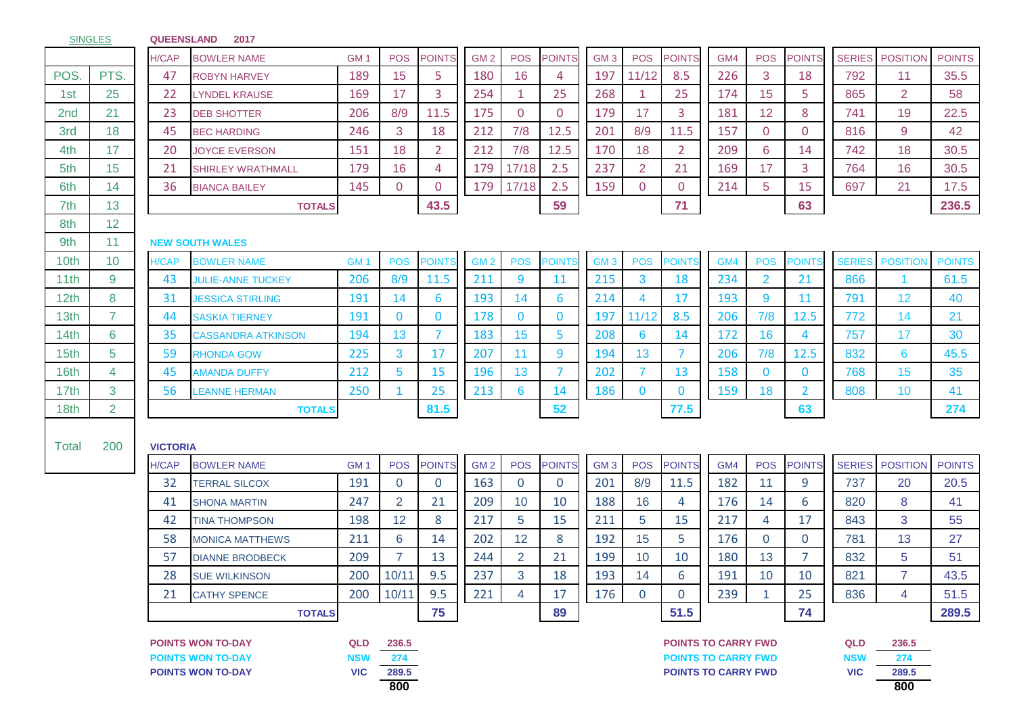SINGLES **QUEENSLAND 2017**

|                  |                | <b>H/CAP</b>    | <b>BOWLER NAME</b>        | GM <sub>1</sub> | <b>POS</b>     | <b>POINTS</b>  | GM <sub>2</sub> | <b>POS</b>     | <b>POINTS</b> | GM <sub>3</sub> | <b>POS</b>     | <b>POINTS</b>              | GM4 | <b>POS</b>     | <b>POINTS</b>  | <b>SERIES</b> | <b>POSITION</b> | <b>POINTS</b> |
|------------------|----------------|-----------------|---------------------------|-----------------|----------------|----------------|-----------------|----------------|---------------|-----------------|----------------|----------------------------|-----|----------------|----------------|---------------|-----------------|---------------|
| POS.             | PTS.           | 47              | <b>ROBYN HARVEY</b>       | 189             | 15             | 5              | 180             | 16             | 4             | 197             | 11/12          | 8.5                        | 226 | 3              | 18             | 792           | 11              | 35.5          |
| 1st              | 25             | 22              | <b>LYNDEL KRAUSE</b>      | 169             | 17             | 3              | 254             | -1             | 25            | 268             | 1              | 25                         | 174 | 15             | 5              | 865           | $\overline{2}$  | 58            |
| 2nd              | 21             | 23              | <b>DEB SHOTTER</b>        | 206             | 8/9            | 11.5           | 175             | $\overline{0}$ | $\mathbf{0}$  | 179             | 17             | 3                          | 181 | 12             | 8              | 741           | 19              | 22.5          |
| 3rd              | 18             | 45              | <b>BEC HARDING</b>        | 246             | 3              | 18             | 212             | 7/8            | 12.5          | 201             | 8/9            | 11.5                       | 157 | $\overline{0}$ | $\mathbf 0$    | 816           | 9               | 42            |
| 4th              | 17             | 20              | <b>JOYCE EVERSON</b>      | 151             | 18             | 2 <sup>1</sup> | 212             | 7/8            | 12.5          | 170             | 18             | $\overline{2}$             | 209 | 6              | 14             | 742           | 18              | 30.5          |
| 5th              | 15             | 21              | <b>SHIRLEY WRATHMALL</b>  | 179             | 16             | 4              | 179             | 17/18          | 2.5           | 237             | $\overline{2}$ | 21                         | 169 | 17             | 3              | 764           | 16              | 30.5          |
| 6th              | 14             | 36              | <b>BIANCA BAILEY</b>      | 145             | $\Omega$       | $\overline{0}$ | 179             | 17/18          | 2.5           | 159             | 0              | $\mathbf 0$                | 214 | 5              | 15             | 697           | 21              | 17.5          |
| 7th              | 13             |                 | <b>TOTALS</b>             |                 |                | 43.5           |                 |                | 59            |                 |                | 71                         |     |                | 63             |               |                 | 236.5         |
| 8th              | 12             |                 |                           |                 |                |                |                 |                |               |                 |                |                            |     |                |                |               |                 |               |
| 9th              | 11             |                 | <b>NEW SOUTH WALES</b>    |                 |                |                |                 |                |               |                 |                |                            |     |                |                |               |                 |               |
| 10th             | 10             | H/CAP           | <b>BOWLER NAME</b>        | GM <sub>1</sub> | <b>POS</b>     | POINTS         | GM <sub>2</sub> | <b>POS</b>     | <b>POINTS</b> | GM <sub>3</sub> | <b>POS</b>     | <b>POINT</b>               | GM4 | <b>POS</b>     | <b>POINTS</b>  | <b>SERIES</b> | <b>POSITION</b> | <b>POINTS</b> |
| 11th             | 9              | 43              | <b>JULIE-ANNE TUCKEY</b>  | 206             | 8/9            | 11.5           | 211             | 9              | <b>11</b>     | 215             | 3              | 18                         | 234 | $\overline{2}$ | 21             | 866           |                 | 61.5          |
| 12 <sub>th</sub> | 8              | 31              | <b>JESSICA STIRLING</b>   | 191             | 14             | 6              | 193             | 14             | 6             | 214             | 4              | 17                         | 193 | 9              | 11             | 791           | 12              | 40            |
| 13th             | $\overline{7}$ | 44              | <b>SASKIA TIERNEY</b>     | 191             | $\bf{0}$       | $\mathbf{0}$   | 178             | $\mathbf{0}$   | $\bf{0}$      | 197             | 11/12          | 8.5                        | 206 | 7/8            | 12.5           | 772           | 14              | 21            |
| 14 <sub>th</sub> | 6              | 35              | <b>CASSANDRA ATKINSON</b> | 194             | 13             | $\overline{7}$ | 183             | 15             | 5             | 208             | 6              | 14                         | 172 | 16             | 4              | 757           | 17              | 30            |
| 15 <sub>th</sub> | 5              | 59              | <b>RHONDA GOW</b>         | 225             | 3              | 17             | 207             | 11             | 9             | 194             | 13             | $\overline{7}$             | 206 | 7/8            | 12.5           | 832           | 6               | 45.5          |
| 16th             | 4              | 45              | AMANDA DUFFY              | 212             | 5              | 15             | <b>196</b>      | 13             | 7             | 202             |                | 13                         | 158 | $\mathbf{0}$   | $\bf{0}$       | 768           | 15              | 35            |
| 17 <sub>th</sub> | 3              | 56              | <b>LEANNE HERMAN</b>      | 250             |                | 25             | 213             | 6              | 14            | 186             | $\mathbf{0}$   | $\mathbf{0}$               | 159 | 18             | $\overline{2}$ | 808           | 10              | 41            |
| 18 <sub>th</sub> | $\overline{2}$ |                 | <b>TOTALS</b>             |                 |                | 81.5           |                 |                | 52            |                 |                | 77.5                       |     |                | 63             |               |                 | 274           |
|                  |                |                 |                           |                 |                |                |                 |                |               |                 |                |                            |     |                |                |               |                 |               |
| Total            | 200            | <b>VICTORIA</b> |                           |                 |                |                |                 |                |               |                 |                |                            |     |                |                |               |                 |               |
|                  |                | <b>H/CAP</b>    | <b>BOWLER NAME</b>        | GM <sub>1</sub> | <b>POS</b>     | <b>POINTS</b>  | GM <sub>2</sub> | <b>POS</b>     | <b>POINTS</b> | GM <sub>3</sub> | <b>POS</b>     | <b>POINTS</b>              | GM4 | <b>POS</b>     | <b>POINTS</b>  | <b>SERIES</b> | <b>POSITION</b> | <b>POINTS</b> |
|                  |                | 32              | TERRAL SILCOX             | 191             | $\overline{0}$ | $\mathbf{0}$   | 163             | $\overline{0}$ | $\mathbf{0}$  | 201             | 8/9            | 11.5                       | 182 | 11             | 9              | 737           | 20              | 20.5          |
|                  |                | 41              | <b>SHONA MARTIN</b>       | 247             | 2              | 21             | 209             | 10             | 10            | 188             | 16             | 4                          | 176 | 14             | 6              | 820           | 8               | 41            |
|                  |                | 42              | <b>TINA THOMPSON</b>      | 198             | 12             | 8              | 217             | 5              | 15            | 211             | 5              | 15                         | 217 | 4              | 17             | 843           | 3               | 55            |
|                  |                | 58              | <b>MONICA MATTHEWS</b>    | 211             | 6              | 14             | 202             | 12             | 8             | 192             | 15             | 5                          | 176 | $\overline{0}$ | $\mathbf 0$    | 781           | 13              | 27            |
|                  |                | 57              | <b>DIANNE BRODBECK</b>    | 209             | $\overline{7}$ | 13             | 244             | 2              | 21            | 199             | 10             | 10                         | 180 | 13             | $\overline{7}$ | 832           | 5               | 51            |
|                  |                | 28              | <b>SUE WILKINSON</b>      | 200             | 10/11          | 9.5            | 237             | 3              | 18            | 193             | 14             | 6                          | 191 | 10             | 10             | 821           | $\overline{7}$  | 43.5          |
|                  |                | 21              | <b>CATHY SPENCE</b>       | 200             | 10/11          | 9.5            | 221             | 4              | 17            | 176             | $\overline{0}$ | $\mathbf 0$                | 239 |                | 25             | 836           | 4               | 51.5          |
|                  |                |                 | <b>TOTALS</b>             |                 |                | 75             |                 |                | 89            |                 |                | 51.5                       |     |                | 74             |               |                 | 289.5         |
|                  |                |                 | <b>POINTS WON TO-DAY</b>  | <b>QLD</b>      | 236.5          |                |                 |                |               |                 |                | <b>POINTS TO CARRY FWD</b> |     |                |                | QLD           | 236.5           |               |
|                  |                |                 | <b>POINTS WON TO-DAY</b>  | <b>NSW</b>      | 274            |                |                 |                |               |                 |                | <b>POINTS TO CARRY FWD</b> |     |                |                | <b>NSW</b>    | 274             |               |
|                  |                |                 | <b>POINTS WON TO-DAY</b>  | <b>VIC</b>      | 289.5<br>800   |                |                 |                |               |                 |                | <b>POINTS TO CARRY FWD</b> |     |                |                | <b>VIC</b>    | 289.5<br>800    |               |
|                  |                |                 |                           |                 |                |                |                 |                |               |                 |                |                            |     |                |                |               |                 |               |

**800 800**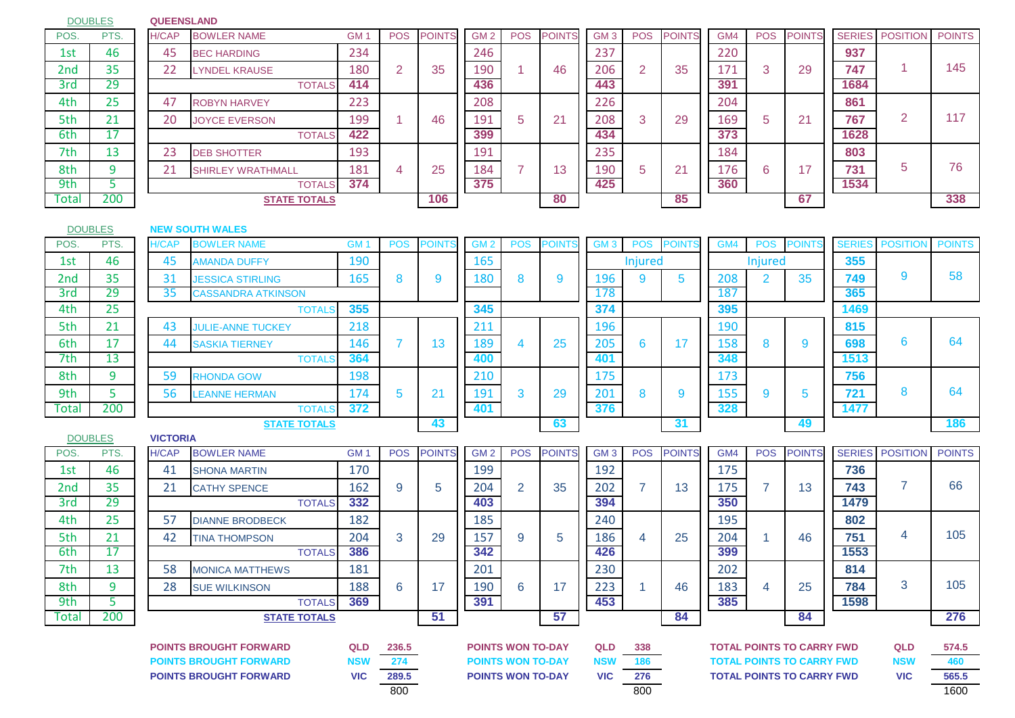DOUBLES

## **QUEENSLAND**

| POS.  | PTS. | H/CAP | <b>BOWLER NAME</b>       | <b>GM</b> | <b>POS</b> | <b>POINTS</b> | GM <sub>2</sub> | <b>POS</b> | <b>POINTS</b> | GM <sub>3</sub> | <b>POS</b> | <b>POINTS</b> | GM4 | <b>POS</b>  | <b>POINTS</b> |      | <b>SERIES</b> POSITION | <b>POINTS</b> |
|-------|------|-------|--------------------------|-----------|------------|---------------|-----------------|------------|---------------|-----------------|------------|---------------|-----|-------------|---------------|------|------------------------|---------------|
| 1st   | 46   | 45    | <b>BEC HARDING</b>       | 234       |            |               | 246             |            |               | 237             |            |               | 220 |             |               | 937  |                        |               |
| 2nd   | 35   | 22    | <b>LYNDEL KRAUSE</b>     | 180       |            | 35            | 190             |            | 46            | 206             |            | 35            | 171 | 3           | 29            | 747  |                        | 145           |
| 3rd   | 29   |       | <b>TOTALS</b>            | 414       |            |               | 436             |            |               | 443             |            |               | 391 |             |               | 1684 |                        |               |
| 4th   | 25   | 47    | <b>ROBYN HARVEY</b>      | 223       |            |               | 208             |            |               | 226             |            |               | 204 |             |               | 861  |                        |               |
| 5th   | 21   | 20    | <b>JOYCE EVERSON</b>     | 199       |            | 46            | 191             | b          | 21            | 208             | 3          | 29            | 169 | $\mathbf b$ | 21            | 767  | 2                      | 117           |
| 6th   | 17   |       | <b>TOTALS</b>            | 422       |            |               | 399             |            |               | 434             |            |               | 373 |             |               | 1628 |                        |               |
| 7th   | 13   | 23    | <b>DEB SHOTTER</b>       | 193       |            |               | 191             |            |               | 235             |            |               | 184 |             |               | 803  |                        |               |
| 8th   |      | 21    | <b>SHIRLEY WRATHMALL</b> | 181       |            | 25            | 184             |            | 13            | 190             | b          | 21            | 176 | 6           | 17            | 731  | 5                      | 76            |
| 9th   |      |       | <b>TOTALS</b>            | 374       |            |               | 375             |            |               | 425             |            |               | 360 |             |               | 1534 |                        |               |
| Total | 200  |       | <b>STATE TOTALS</b>      |           |            | 106           |                 |            | 80            |                 |            | 85            |     |             | 67            |      |                        | 338           |

| )S. | rs.<br>Ρ. | H/CA |
|-----|-----------|------|
| st  | 46        |      |
| ١d  | 35        |      |
| -   |           |      |

**DOUBLES** 

|                 | <b>DOUBLES</b> |       | <b>NEW SOUTH WALES</b>    |     |            |               |                 |            |               |                 |                |              |                 |            |              |               |          |               |
|-----------------|----------------|-------|---------------------------|-----|------------|---------------|-----------------|------------|---------------|-----------------|----------------|--------------|-----------------|------------|--------------|---------------|----------|---------------|
| POS.            | PTS.           | H/CAP | <b>BOWLER NAME</b>        | GM  | <b>POS</b> | <b>POINTS</b> | GM <sub>2</sub> | <b>POS</b> | <b>POINTS</b> | GM <sub>3</sub> | <b>POS</b>     | <b>POINT</b> | GM <sup>2</sup> | <b>POS</b> | <b>POINT</b> | <b>SERIES</b> | POSITION | <b>POINTS</b> |
| 1st             | 46             | 45    | <b>AMANDA DUFFY</b>       | 190 |            |               | 165             |            |               |                 | <b>Injured</b> |              |                 | Injured    |              | 355           |          |               |
| 2 <sub>nd</sub> | 35             | 31    | <b>JESSICA STIRLING</b>   | 165 |            |               | 180             |            |               | 196             |                |              | 208             |            | 35           | 749           |          | 58            |
| 3rd             | 29             | 35    | <b>CASSANDRA ATKINSON</b> |     |            |               |                 |            |               | 178             |                |              | 187             |            |              | 365           |          |               |
| 4th             | 25             |       | <b>TOTALS</b>             | 355 |            |               | 345             |            |               | 374             |                |              | 395             |            |              | 1469          |          |               |
| 5th             | 21<br>ᅀ        | 43    | <b>JULIE-ANNE TUCKEY</b>  | 218 |            |               | 211             |            |               | 196             |                |              | 190             |            |              | 815           |          |               |
| 6th             | 17             | 44    | <b>SASKIA TIERNEY</b>     | 146 |            | 13            | 189             |            | 25            | 205             | h              |              | 158             |            |              | 698           |          | 64            |
| 7th             | 13             |       | <b>TOTALS</b>             | 364 |            |               | 400             |            |               | 401             |                |              | 348             |            |              | 1513          |          |               |
| 8th             |                | 59    | <b>RHONDA GOW</b>         | 198 |            |               | 210             |            |               | 175             |                |              | 173             |            |              | 756           |          |               |
| 9th             |                | 56    | <b>LEANNE HERMAN</b>      | 174 |            |               | 191             |            | 29            | 201             |                |              |                 |            |              | 721           |          | 64            |

|   | <b>POINTS</b> | <b>SERIES</b> | <b>POSITION</b> | <b>POINTS</b> |
|---|---------------|---------------|-----------------|---------------|
| d |               | 355           |                 |               |
|   | 35            | 749           | 9               | 58            |
|   |               | 365           |                 |               |
|   |               | 1469          |                 |               |
|   |               | 815           |                 |               |
|   | 9             | 698           | 6               | 64            |
|   |               | 1513          |                 |               |
|   |               | 756           |                 |               |
|   | 5             | 721           | 8               | 64            |
|   |               | 1477          |                 |               |
|   | 49            |               |                 | 186           |

|                   | _ES  |
|-------------------|------|
| POS.              | PTS. |
| 1st               | 46   |
| 2nd               | 35   |
| $\overline{3}$ rd | 29   |
| 4th               | 25   |
| 5th               | 21   |
| 6th               | 17   |
| 7th               | 13   |
| 8th               | q    |
| 9th               | ς    |
| Total             | 200  |

| 8th            | 9    | 59              | <b>RHONDA GOW</b>             | 198             |            |               | 210                      |                          |               | 175             |            |               | 173 |            |                                  | 756           |                 |               |
|----------------|------|-----------------|-------------------------------|-----------------|------------|---------------|--------------------------|--------------------------|---------------|-----------------|------------|---------------|-----|------------|----------------------------------|---------------|-----------------|---------------|
| 9th            | 5    | 56              | <b>LEANNE HERMAN</b>          | 174             | 5          | 21            | 191                      | 3                        | 29            | 201             | 8          | 9             | 155 | 9          | 5                                | 721           | 8               | 64            |
| <b>Total</b>   | 200  |                 | <b>TOTAL</b>                  | 372             |            |               | 401                      |                          |               | 376             |            |               | 328 |            |                                  | 1477          |                 |               |
|                |      |                 | <b>STATE TOTALS</b>           |                 |            | 43            |                          |                          | 63            |                 |            | 31            |     |            | 49                               |               |                 | 186           |
| <b>DOUBLES</b> |      | <b>VICTORIA</b> |                               |                 |            |               |                          |                          |               |                 |            |               |     |            |                                  |               |                 |               |
| POS.           | PTS. | <b>H/CAP</b>    | <b>BOWLER NAME</b>            | GM <sub>1</sub> | <b>POS</b> | <b>POINTS</b> | GM <sub>2</sub>          | <b>POS</b>               | <b>POINTS</b> | GM <sub>3</sub> | <b>POS</b> | <b>POINTS</b> | GM4 | <b>POS</b> | <b>POINTS</b>                    | <b>SERIES</b> | <b>POSITION</b> | <b>POINTS</b> |
| 1st            | 46   | 41              | <b>SHONA MARTIN</b>           | 170             |            |               | 199                      |                          |               | 192             |            |               | 175 |            |                                  | 736           |                 |               |
| 2nd            | 35   | 21              | <b>CATHY SPENCE</b>           | 162             | 9          | 5             | 204                      | 2                        | 35            | 202             |            | 13            | 175 |            | 13                               | 743           | 7               | 66            |
| 3rd            | 29   |                 | <b>TOTALS</b>                 | 332             |            |               | 403                      |                          |               | 394             |            |               | 350 |            |                                  | 1479          |                 |               |
| 4th            | 25   | 57              | <b>DIANNE BRODBECK</b>        | 182             |            |               | 185                      |                          |               | 240             |            |               | 195 |            |                                  | 802           |                 |               |
| 5th            | 21   | 42              | <b>TINA THOMPSON</b>          | 204             | 3          | 29            | 157                      | 9                        | 5             | 186             | 4          | 25            | 204 |            | 46                               | 751           | $\overline{4}$  | 105           |
| 6th            | 17   |                 | <b>TOTALS</b>                 | 386             |            |               | 342                      |                          |               | 426             |            |               | 399 |            |                                  | 1553          |                 |               |
| 7th            | 13   | 58              | <b>MONICA MATTHEWS</b>        | 181             |            |               | 201                      |                          |               | 230             |            |               | 202 |            |                                  | 814           |                 |               |
| 8th            | 9    | 28              | <b>SUE WILKINSON</b>          | 188             | 6          | 17            | 190                      | 6                        | 17            | 223             |            | 46            | 183 | 4          | 25                               | 784           | 3               | 105           |
| 9th            | 5.   |                 | <b>TOTALS</b>                 | 369             |            |               | 391                      |                          |               | 453             |            |               | 385 |            |                                  | 1598          |                 |               |
| Total          | 200  |                 | <b>STATE TOTALS</b>           |                 |            | 51            |                          |                          | 57            |                 |            | 84            |     |            | 84                               |               |                 | 276           |
|                |      |                 |                               |                 |            |               |                          |                          |               |                 |            |               |     |            |                                  |               |                 |               |
|                |      |                 | <b>POINTS BROUGHT FORWARD</b> | <b>QLD</b>      | 236.5      |               | <b>POINTS WON TO-DAY</b> |                          |               | QLD             | 338        |               |     |            | <b>TOTAL POINTS TO CARRY FWD</b> |               | <b>QLD</b>      | 574.5         |
|                |      |                 | <b>POINTS BROUGHT FORWARD</b> | <b>NSW</b>      | 274        |               |                          | <b>POINTS WON TO-DAY</b> |               | <b>NSW</b>      | 186        |               |     |            | <b>TOTAL POINTS TO CARRY FWD</b> |               | <b>NSW</b>      | 460           |
|                |      |                 | <b>POINTS BROUGHT FORWARD</b> | <b>VIC</b>      | 289.5      |               | <b>POINTS WON TO-DAY</b> |                          |               | <b>VIC</b>      | 276        |               |     |            | <b>TOTAL POINTS TO CARRY FWD</b> |               | <b>VIC</b>      | 565.5         |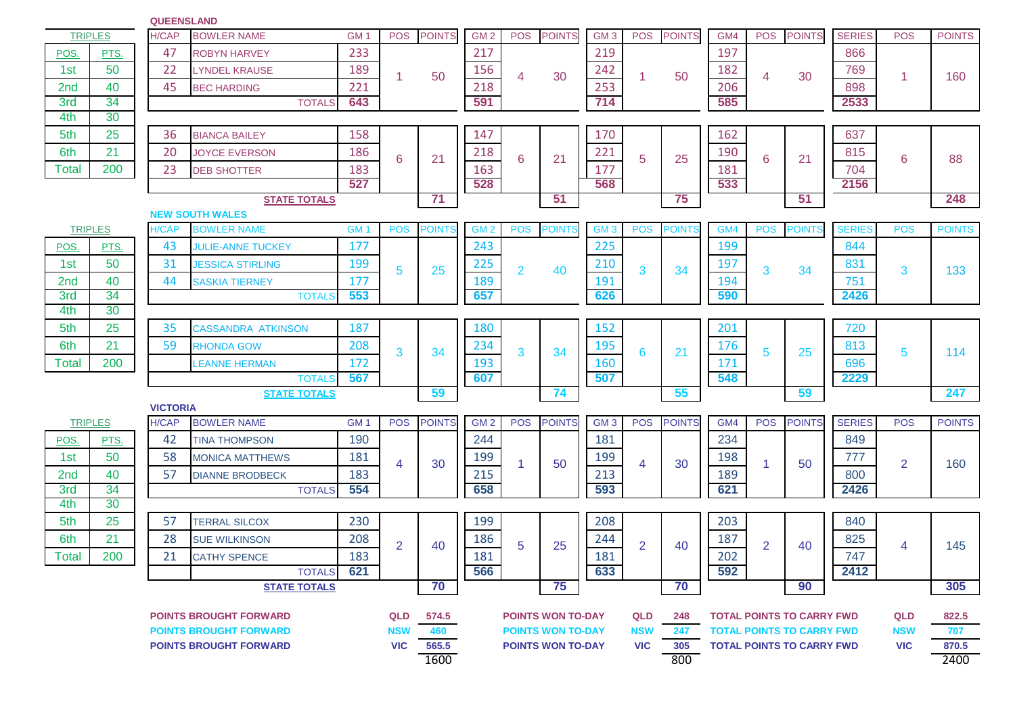|                 | <b>TRIPLES</b> | <b>H/CAP</b>                    | <b>BOWLER NAME</b>                   | GM <sub>1</sub> | <b>POS</b>     | <b>POINTS</b> | GM <sub>2</sub> | <b>POS</b>     | <b>POINTS</b>            | GM <sub>3</sub> | <b>POS</b> | <b>POINTS</b> | GM4        | <b>POS</b>     | <b>POINTS</b>                    | <b>SERIES</b> | <b>POS</b>     | <b>POINTS</b> |
|-----------------|----------------|---------------------------------|--------------------------------------|-----------------|----------------|---------------|-----------------|----------------|--------------------------|-----------------|------------|---------------|------------|----------------|----------------------------------|---------------|----------------|---------------|
| POS.            | PTS.           | 47                              | <b>ROBYN HARVEY</b>                  | 233             |                |               | 217             |                |                          | 219             |            |               | 197        |                |                                  | 866           |                |               |
| 1st             | 50             | 22                              | <b>LYNDEL KRAUSE</b>                 | 189             | 1              | 50            | 156             | 4              | 30                       | 242             |            | 50            | 182        | 4              | 30                               | 769           | -1             | 160           |
| 2nd             | 40             | 45                              | <b>BEC HARDING</b>                   | 221             |                |               | 218             |                |                          | 253             |            |               | 206        |                |                                  | 898           |                |               |
| 3rd             | 34             |                                 | <b>TOTALS</b>                        | 643             |                |               | 591             |                |                          | 714             |            |               | 585        |                |                                  | 2533          |                |               |
| 4th             | 30             |                                 |                                      |                 |                |               |                 |                |                          |                 |            |               |            |                |                                  |               |                |               |
| 5th             | 25             | 36                              | <b>BIANCA BAILEY</b>                 | 158             |                |               | 147             |                |                          | 170             |            |               | 162        |                |                                  | 637           |                |               |
| 6th             | 21             | 20                              | <b>JOYCE EVERSON</b>                 | 186             | 6              | 21            | 218             | 6              | 21                       | 221             | 5          | 25            | 190        | 6              | 21                               | 815           | 6              | 88            |
| Total           | 200            | 23                              | <b>DEB SHOTTER</b>                   | 183             |                |               | 163             |                |                          | 177             |            |               | 181        |                |                                  | 704           |                |               |
|                 |                |                                 |                                      | 527             |                |               | 528             |                |                          | 568             |            |               | 533        |                |                                  | 2156          |                |               |
|                 |                |                                 | <b>STATE TOTALS</b>                  |                 |                | 71            |                 |                | 51                       |                 |            | 75            |            |                | 51                               |               |                | 248           |
|                 |                |                                 | <b>NEW SOUTH WALES</b>               |                 |                |               |                 |                |                          |                 |            |               |            |                |                                  |               |                |               |
|                 | <b>TRIPLES</b> | <b>H/CAP</b>                    | <b>BOWLER NAME</b>                   | GM <sub>1</sub> | <b>POS</b>     | <b>POINTS</b> | GM <sub>2</sub> | <b>POS</b>     | <b>POINTS</b>            | GM <sub>3</sub> | <b>POS</b> | POINT         | GM4        | <b>POS</b>     | <b>POINTS</b>                    | <b>SERIES</b> | <b>POS</b>     | <b>POINTS</b> |
| <b>POS</b>      | PTS.           | 43                              | <b>JULIE-ANNE TUCKEY</b>             | 177             |                |               | 243             |                |                          | 225             |            |               | 199        |                |                                  | 844           |                |               |
| 1st             | 50             | 31                              | <b>JESSICA STIRLING</b>              | 199             | 5              | 25            | 225             | $\overline{2}$ | 40                       | 210             | 3          | 34            | 197        | 3              | 34                               | 831           | 3              | 133           |
| 2 <sub>nd</sub> | 40             | 44                              | <b>SASKIA TIERNEY</b>                | 177             |                |               | 189             |                |                          | 191             |            |               | 194        |                |                                  | 751           |                |               |
| 3rd             | 34             |                                 | <b>TOTAL</b>                         | 553             |                |               | 657             |                |                          | 626             |            |               | 590        |                |                                  | 2426          |                |               |
| 4th             | 30             |                                 |                                      |                 |                |               |                 |                |                          |                 |            |               |            |                |                                  |               |                |               |
| 5th             | 25             | 35                              | <b>CASSANDRA ATKINSON</b>            | 187             |                |               | 180             |                |                          | 152             |            |               | 201        |                |                                  | 720           |                |               |
| 6th             | 21             | 59                              | <b>RHONDA GOW</b>                    | 208             | 3              | 34            | 234             | 3              | 34                       | 195             | 6          | 21            | 176        | 5              | 25                               | 813           | 5              | 114           |
| <b>Total</b>    | 200            |                                 | <b>LEANNE HERMAN</b>                 | 172             |                |               | 193             |                |                          | 160             |            |               | 171        |                |                                  | 696           |                |               |
|                 |                |                                 | <b>TOTALS</b>                        | 567             |                |               | 607             |                |                          | 507             |            |               | 548        |                |                                  | 2229          |                |               |
|                 |                |                                 | <b>STATE TOTALS</b>                  |                 |                | 59            |                 |                | 74                       |                 |            | 55            |            |                | 59                               |               |                | 247           |
|                 | <b>TRIPLES</b> | <b>VICTORIA</b><br><b>H/CAP</b> | <b>BOWLER NAME</b>                   | GM <sub>1</sub> | <b>POS</b>     | <b>POINTS</b> | GM <sub>2</sub> | <b>POS</b>     | <b>POINTS</b>            | GM <sub>3</sub> | <b>POS</b> | <b>POINTS</b> | GM4        | <b>POS</b>     | <b>POINTS</b>                    | <b>SERIES</b> | <b>POS</b>     | <b>POINTS</b> |
|                 |                | 42                              |                                      | 190             |                |               | 244             |                |                          | 181             |            |               | 234        |                |                                  | 849           |                |               |
| POS.            | PTS.<br>50     |                                 | <b>TINA THOMPSON</b>                 |                 |                |               |                 |                |                          |                 |            |               |            |                |                                  |               |                |               |
| 1st             |                | 58                              | <b>MONICA MATTHEWS</b>               | 181             | 4              | 30            | 199             | $\mathbf{1}$   | 50                       | 199             | 4          | 30            | 198        | -1             | 50                               | 777           | 2              | 160           |
| 2nd<br>3rd      | 40<br>34       | 57                              | <b>DIANNE BRODBECK</b>               | 183<br>554      |                |               | 215<br>658      |                |                          | 213<br>593      |            |               | 189<br>621 |                |                                  | 800<br>2426   |                |               |
| 4th             | 30             |                                 | <b>TOTALS</b>                        |                 |                |               |                 |                |                          |                 |            |               |            |                |                                  |               |                |               |
| 5th             | 25             | 57                              | <b>TERRAL SILCOX</b>                 | 230             |                |               | 199             |                |                          | 208             |            |               | 203        |                |                                  | 840           |                |               |
| 6th             | 21             | 28                              | <b>SUE WILKINSON</b>                 | 208             |                |               | 186             |                |                          | 244             |            |               | 187        |                |                                  | 825           |                |               |
|                 | 200            |                                 |                                      |                 | $\overline{2}$ | 40            |                 | 5              | 25                       |                 | 2          | 40            |            | $\overline{2}$ | 40                               |               | $\overline{4}$ | 145           |
| Total           |                | 21                              | <b>CATHY SPENCE</b>                  | 183<br>621      |                |               | 181<br>566      |                |                          | 181<br>633      |            |               | 202<br>592 |                |                                  | 747<br>2412   |                |               |
|                 |                |                                 | <b>TOTALS</b><br><b>STATE TOTALS</b> |                 |                | 70            |                 |                | 75                       |                 |            | 70            |            |                | 90                               |               |                | 305           |
|                 |                |                                 |                                      |                 |                |               |                 |                |                          |                 |            |               |            |                |                                  |               |                |               |
|                 |                |                                 | <b>POINTS BROUGHT FORWARD</b>        |                 | <b>QLD</b>     | 574.5         |                 |                | <b>POINTS WON TO-DAY</b> |                 | <b>QLD</b> | 248           |            |                | <b>TOTAL POINTS TO CARRY FWD</b> |               | <b>QLD</b>     | 822.5         |
|                 |                |                                 | <b>POINTS BROUGHT FORWARD</b>        |                 | <b>NSW</b>     | 460           |                 |                | <b>POINTS WON TO-DAY</b> |                 | <b>NSW</b> | 247           |            |                | <b>TOTAL POINTS TO CARRY FWD</b> |               | <b>NSW</b>     | 707           |
|                 |                |                                 | <b>POINTS BROUGHT FORWARD</b>        |                 | <b>VIC</b>     | 565.5         |                 |                | <b>POINTS WON TO-DAY</b> |                 | <b>VIC</b> | 305           |            |                | <b>TOTAL POINTS TO CARRY FWD</b> |               | <b>VIC</b>     | 870.5         |
|                 |                |                                 |                                      |                 |                | 1600          |                 |                |                          |                 |            | 800           |            |                |                                  |               |                | 2400          |

**QUEENSLAND**